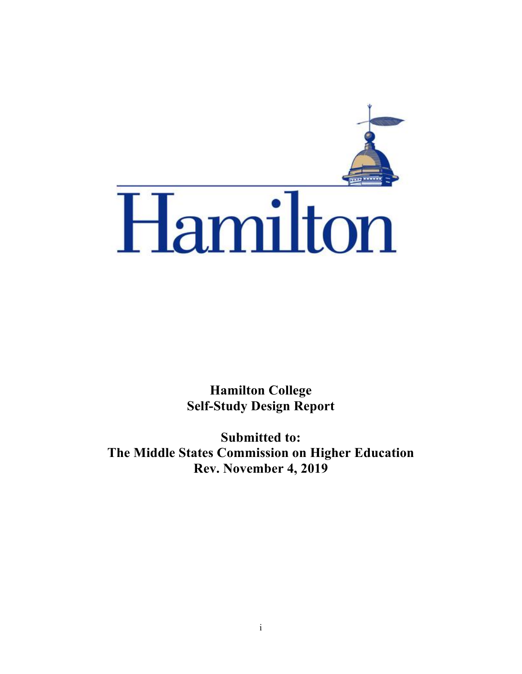

**Hamilton College Self-Study Design Report**

**Submitted to: The Middle States Commission on Higher Education Rev. November 4, 2019**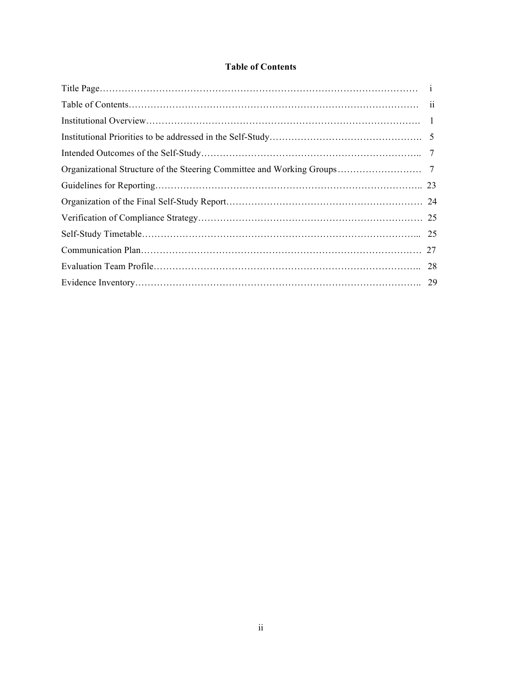# **Table of Contents**

| 25 |
|----|
| 27 |
| 28 |
|    |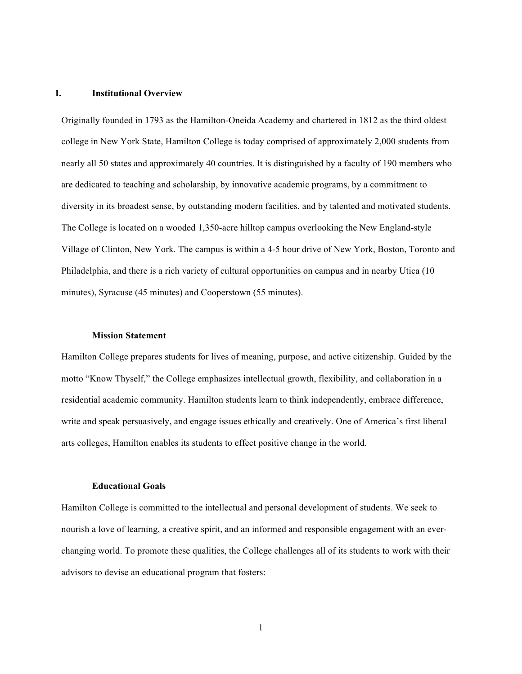## **I. Institutional Overview**

Originally founded in 1793 as the Hamilton-Oneida Academy and chartered in 1812 as the third oldest college in New York State, Hamilton College is today comprised of approximately 2,000 students from nearly all 50 states and approximately 40 countries. It is distinguished by a faculty of 190 members who are dedicated to teaching and scholarship, by innovative academic programs, by a commitment to diversity in its broadest sense, by outstanding modern facilities, and by talented and motivated students. The College is located on a wooded 1,350-acre hilltop campus overlooking the New England-style Village of Clinton, New York. The campus is within a 4-5 hour drive of New York, Boston, Toronto and Philadelphia, and there is a rich variety of cultural opportunities on campus and in nearby Utica (10 minutes), Syracuse (45 minutes) and Cooperstown (55 minutes).

#### **Mission Statement**

Hamilton College prepares students for lives of meaning, purpose, and active citizenship. Guided by the motto "Know Thyself," the College emphasizes intellectual growth, flexibility, and collaboration in a residential academic community. Hamilton students learn to think independently, embrace difference, write and speak persuasively, and engage issues ethically and creatively. One of America's first liberal arts colleges, Hamilton enables its students to effect positive change in the world.

#### **Educational Goals**

Hamilton College is committed to the intellectual and personal development of students. We seek to nourish a love of learning, a creative spirit, and an informed and responsible engagement with an everchanging world. To promote these qualities, the College challenges all of its students to work with their advisors to devise an educational program that fosters:

1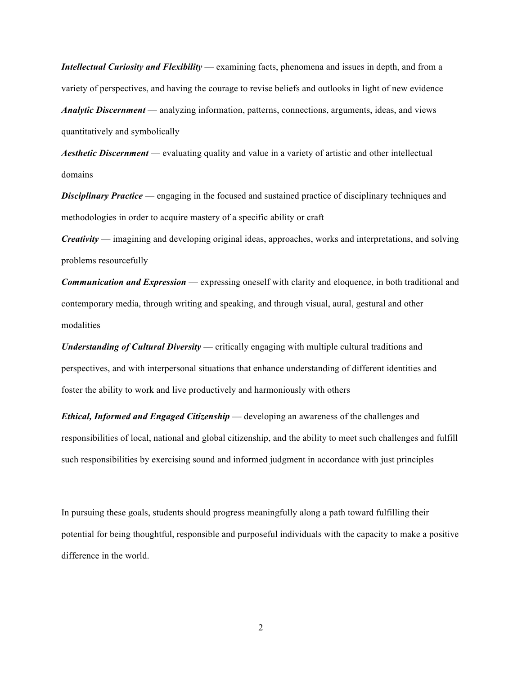*Intellectual Curiosity and Flexibility* — examining facts, phenomena and issues in depth, and from a variety of perspectives, and having the courage to revise beliefs and outlooks in light of new evidence *Analytic Discernment* — analyzing information, patterns, connections, arguments, ideas, and views quantitatively and symbolically

*Aesthetic Discernment* — evaluating quality and value in a variety of artistic and other intellectual domains

**Disciplinary Practice** — engaging in the focused and sustained practice of disciplinary techniques and methodologies in order to acquire mastery of a specific ability or craft

*Creativity* — imagining and developing original ideas, approaches, works and interpretations, and solving problems resourcefully

*Communication and Expression* — expressing oneself with clarity and eloquence, in both traditional and contemporary media, through writing and speaking, and through visual, aural, gestural and other modalities

*Understanding of Cultural Diversity* — critically engaging with multiple cultural traditions and perspectives, and with interpersonal situations that enhance understanding of different identities and foster the ability to work and live productively and harmoniously with others

*Ethical, Informed and Engaged Citizenship* — developing an awareness of the challenges and responsibilities of local, national and global citizenship, and the ability to meet such challenges and fulfill such responsibilities by exercising sound and informed judgment in accordance with just principles

In pursuing these goals, students should progress meaningfully along a path toward fulfilling their potential for being thoughtful, responsible and purposeful individuals with the capacity to make a positive difference in the world.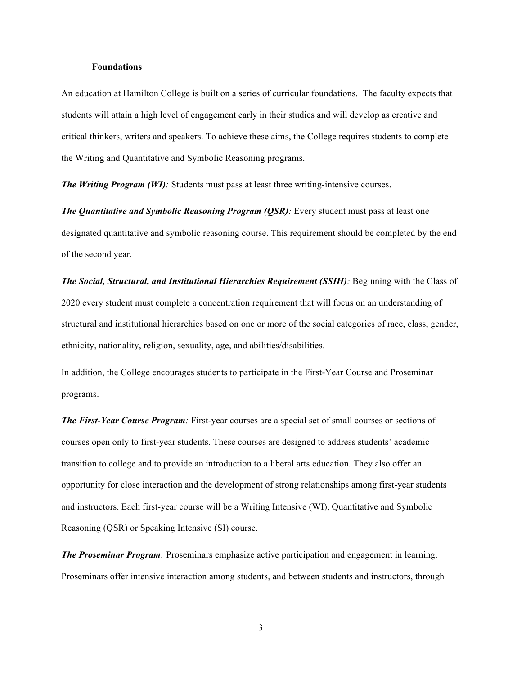## **Foundations**

An education at Hamilton College is built on a series of curricular foundations. The faculty expects that students will attain a high level of engagement early in their studies and will develop as creative and critical thinkers, writers and speakers. To achieve these aims, the College requires students to complete the Writing and Quantitative and Symbolic Reasoning programs.

*The Writing Program (WI):* Students must pass at least three writing-intensive courses.

*The Quantitative and Symbolic Reasoning Program (QSR):* Every student must pass at least one designated quantitative and symbolic reasoning course. This requirement should be completed by the end of the second year.

*The Social, Structural, and Institutional Hierarchies Requirement (SSIH):* Beginning with the Class of 2020 every student must complete a concentration requirement that will focus on an understanding of structural and institutional hierarchies based on one or more of the social categories of race, class, gender, ethnicity, nationality, religion, sexuality, age, and abilities/disabilities.

In addition, the College encourages students to participate in the First-Year Course and Proseminar programs.

*The First-Year Course Program:* First-year courses are a special set of small courses or sections of courses open only to first-year students. These courses are designed to address students' academic transition to college and to provide an introduction to a liberal arts education. They also offer an opportunity for close interaction and the development of strong relationships among first-year students and instructors. Each first-year course will be a Writing Intensive (WI), Quantitative and Symbolic Reasoning (QSR) or Speaking Intensive (SI) course.

*The Proseminar Program:* Proseminars emphasize active participation and engagement in learning. Proseminars offer intensive interaction among students, and between students and instructors, through

3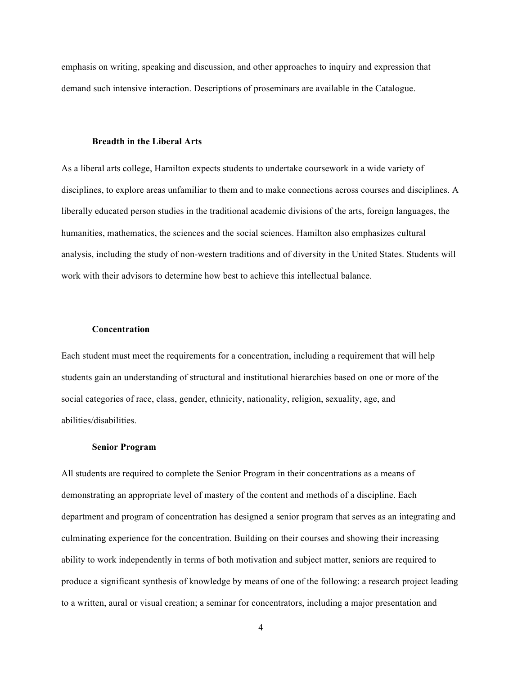emphasis on writing, speaking and discussion, and other approaches to inquiry and expression that demand such intensive interaction. Descriptions of proseminars are available in the Catalogue.

#### **Breadth in the Liberal Arts**

As a liberal arts college, Hamilton expects students to undertake coursework in a wide variety of disciplines, to explore areas unfamiliar to them and to make connections across courses and disciplines. A liberally educated person studies in the traditional academic divisions of the arts, foreign languages, the humanities, mathematics, the sciences and the social sciences. Hamilton also emphasizes cultural analysis, including the study of non-western traditions and of diversity in the United States. Students will work with their advisors to determine how best to achieve this intellectual balance.

### **Concentration**

Each student must meet the requirements for a concentration, including a requirement that will help students gain an understanding of structural and institutional hierarchies based on one or more of the social categories of race, class, gender, ethnicity, nationality, religion, sexuality, age, and abilities/disabilities.

#### **Senior Program**

All students are required to complete the Senior Program in their concentrations as a means of demonstrating an appropriate level of mastery of the content and methods of a discipline. Each department and program of concentration has designed a senior program that serves as an integrating and culminating experience for the concentration. Building on their courses and showing their increasing ability to work independently in terms of both motivation and subject matter, seniors are required to produce a significant synthesis of knowledge by means of one of the following: a research project leading to a written, aural or visual creation; a seminar for concentrators, including a major presentation and

4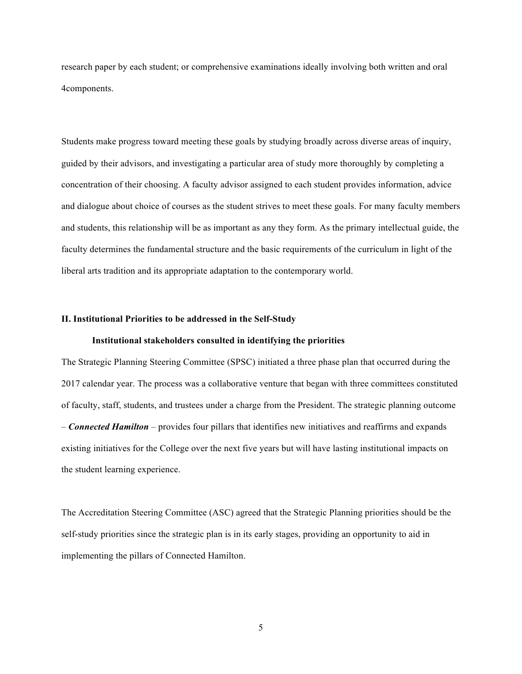research paper by each student; or comprehensive examinations ideally involving both written and oral 4components.

Students make progress toward meeting these goals by studying broadly across diverse areas of inquiry, guided by their advisors, and investigating a particular area of study more thoroughly by completing a concentration of their choosing. A faculty advisor assigned to each student provides information, advice and dialogue about choice of courses as the student strives to meet these goals. For many faculty members and students, this relationship will be as important as any they form. As the primary intellectual guide, the faculty determines the fundamental structure and the basic requirements of the curriculum in light of the liberal arts tradition and its appropriate adaptation to the contemporary world.

#### **II. Institutional Priorities to be addressed in the Self-Study**

#### **Institutional stakeholders consulted in identifying the priorities**

The Strategic Planning Steering Committee (SPSC) initiated a three phase plan that occurred during the 2017 calendar year. The process was a collaborative venture that began with three committees constituted of faculty, staff, students, and trustees under a charge from the President. The strategic planning outcome – *Connected Hamilton* – provides four pillars that identifies new initiatives and reaffirms and expands existing initiatives for the College over the next five years but will have lasting institutional impacts on the student learning experience.

The Accreditation Steering Committee (ASC) agreed that the Strategic Planning priorities should be the self-study priorities since the strategic plan is in its early stages, providing an opportunity to aid in implementing the pillars of Connected Hamilton.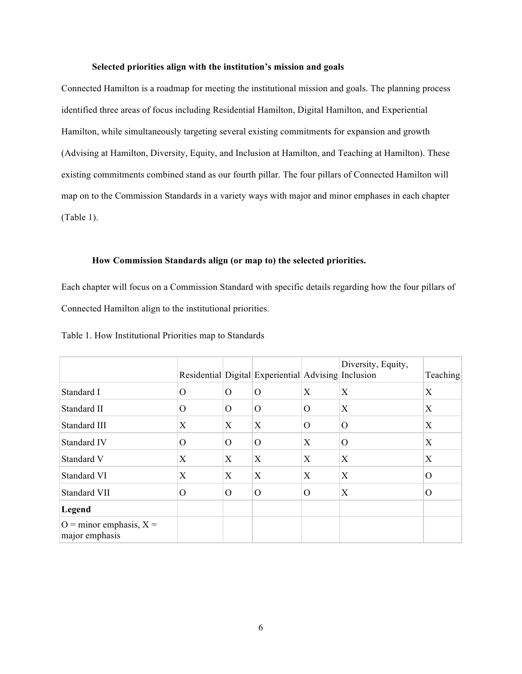## **Selected priorities align with the institution's mission and goals**

Connected Hamilton is a roadmap for meeting the institutional mission and goals. The planning process identified three areas of focus including Residential Hamilton, Digital Hamilton, and Experiential Hamilton, while simultaneously targeting several existing commitments for expansion and growth (Advising at Hamilton, Diversity, Equity, and Inclusion at Hamilton, and Teaching at Hamilton). These existing commitments combined stand as our fourth pillar. The four pillars of Connected Hamilton will map on to the Commission Standards in a variety ways with major and minor emphases in each chapter (Table 1).

#### **How Commission Standards align (or map to) the selected priorities.**

Each chapter will focus on a Commission Standard with specific details regarding how the four pillars of Connected Hamilton align to the institutional priorities.

|                                               |          |          | Residential Digital Experiential Advising Inclusion |          | Diversity, Equity, | Teaching |
|-----------------------------------------------|----------|----------|-----------------------------------------------------|----------|--------------------|----------|
| Standard I                                    | O        | $\Omega$ | $\Omega$                                            | X        | X                  | X        |
| Standard II                                   | $\Omega$ | $\Omega$ | $\Omega$                                            | $\Omega$ | X                  | X        |
| Standard III                                  | Χ        | X        | X                                                   | $\Omega$ | O                  | X        |
| Standard IV                                   | O        | $\Omega$ | $\Omega$                                            | X        | O                  | X        |
| Standard V                                    | X        | X        | X                                                   | X        | X                  | X        |
| Standard VI                                   | Х        | X        | X                                                   | Χ        | Х                  | $\Omega$ |
| Standard VII                                  | O        | $\Omega$ | $\Omega$                                            | $\Omega$ | Χ                  | $\Omega$ |
| Legend                                        |          |          |                                                     |          |                    |          |
| $O =$ minor emphasis, $X =$<br>major emphasis |          |          |                                                     |          |                    |          |

Table 1. How Institutional Priorities map to Standards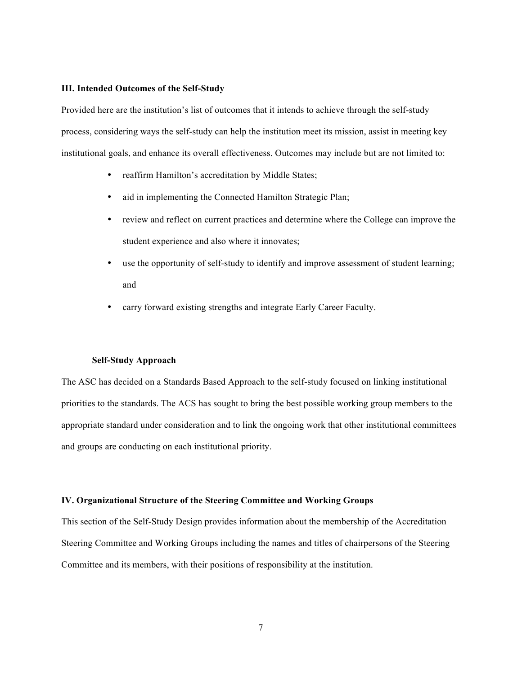#### **III. Intended Outcomes of the Self-Study**

Provided here are the institution's list of outcomes that it intends to achieve through the self-study process, considering ways the self-study can help the institution meet its mission, assist in meeting key institutional goals, and enhance its overall effectiveness. Outcomes may include but are not limited to:

- reaffirm Hamilton's accreditation by Middle States;
- aid in implementing the Connected Hamilton Strategic Plan;
- review and reflect on current practices and determine where the College can improve the student experience and also where it innovates;
- use the opportunity of self-study to identify and improve assessment of student learning; and
- carry forward existing strengths and integrate Early Career Faculty.

## **Self-Study Approach**

The ASC has decided on a Standards Based Approach to the self-study focused on linking institutional priorities to the standards. The ACS has sought to bring the best possible working group members to the appropriate standard under consideration and to link the ongoing work that other institutional committees and groups are conducting on each institutional priority.

#### **IV. Organizational Structure of the Steering Committee and Working Groups**

This section of the Self-Study Design provides information about the membership of the Accreditation Steering Committee and Working Groups including the names and titles of chairpersons of the Steering Committee and its members, with their positions of responsibility at the institution.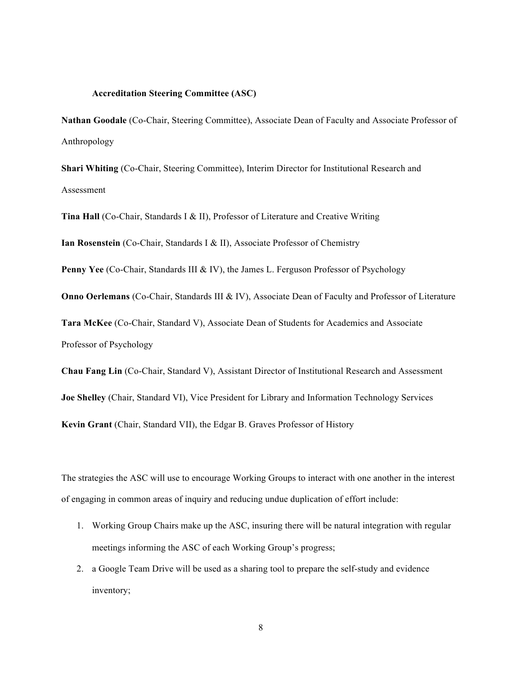# **Accreditation Steering Committee (ASC)**

**Nathan Goodale** (Co-Chair, Steering Committee), Associate Dean of Faculty and Associate Professor of Anthropology

**Shari Whiting** (Co-Chair, Steering Committee), Interim Director for Institutional Research and Assessment

**Tina Hall** (Co-Chair, Standards I & II), Professor of Literature and Creative Writing

**Ian Rosenstein** (Co-Chair, Standards I & II), Associate Professor of Chemistry

**Penny Yee** (Co-Chair, Standards III & IV), the James L. Ferguson Professor of Psychology

**Onno Oerlemans** (Co-Chair, Standards III & IV), Associate Dean of Faculty and Professor of Literature

**Tara McKee** (Co-Chair, Standard V), Associate Dean of Students for Academics and Associate Professor of Psychology

**Chau Fang Lin** (Co-Chair, Standard V), Assistant Director of Institutional Research and Assessment **Joe Shelley** (Chair, Standard VI), Vice President for Library and Information Technology Services **Kevin Grant** (Chair, Standard VII), the Edgar B. Graves Professor of History

The strategies the ASC will use to encourage Working Groups to interact with one another in the interest of engaging in common areas of inquiry and reducing undue duplication of effort include:

- 1. Working Group Chairs make up the ASC, insuring there will be natural integration with regular meetings informing the ASC of each Working Group's progress;
- 2. a Google Team Drive will be used as a sharing tool to prepare the self-study and evidence inventory;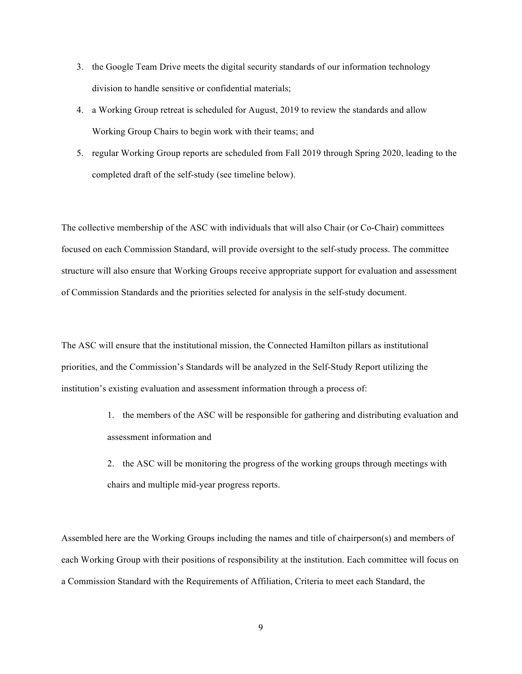- 3. the Google Team Drive meets the digital security standards of our information technology division to handle sensitive or confidential materials;
- 4. a Working Group retreat is scheduled for August, 2019 to review the standards and allow Working Group Chairs to begin work with their teams; and
- 5. regular Working Group reports are scheduled from Fall 2019 through Spring 2020, leading to the completed draft of the self-study (see timeline below).

The collective membership of the ASC with individuals that will also Chair (or Co-Chair) committees focused on each Commission Standard, will provide oversight to the self-study process. The committee structure will also ensure that Working Groups receive appropriate support for evaluation and assessment of Commission Standards and the priorities selected for analysis in the self-study document.

The ASC will ensure that the institutional mission, the Connected Hamilton pillars as institutional priorities, and the Commission's Standards will be analyzed in the Self-Study Report utilizing the institution's existing evaluation and assessment information through a process of:

- 1. the members of the ASC will be responsible for gathering and distributing evaluation and assessment information and
- 2. the ASC will be monitoring the progress of the working groups through meetings with chairs and multiple mid-year progress reports.

Assembled here are the Working Groups including the names and title of chairperson(s) and members of each Working Group with their positions of responsibility at the institution. Each committee will focus on a Commission Standard with the Requirements of Affiliation, Criteria to meet each Standard, the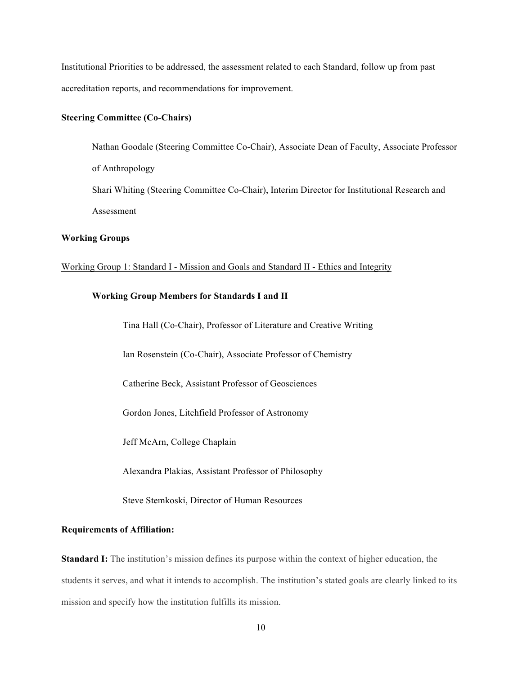Institutional Priorities to be addressed, the assessment related to each Standard, follow up from past accreditation reports, and recommendations for improvement.

# **Steering Committee (Co-Chairs)**

Nathan Goodale (Steering Committee Co-Chair), Associate Dean of Faculty, Associate Professor of Anthropology Shari Whiting (Steering Committee Co-Chair), Interim Director for Institutional Research and Assessment

## **Working Groups**

#### Working Group 1: Standard I - Mission and Goals and Standard II - Ethics and Integrity

### **Working Group Members for Standards I and II**

Tina Hall (Co-Chair), Professor of Literature and Creative Writing

Ian Rosenstein (Co-Chair), Associate Professor of Chemistry

Catherine Beck, Assistant Professor of Geosciences

Gordon Jones, Litchfield Professor of Astronomy

Jeff McArn, College Chaplain

Alexandra Plakias, Assistant Professor of Philosophy

Steve Stemkoski, Director of Human Resources

#### **Requirements of Affiliation:**

**Standard I:** The institution's mission defines its purpose within the context of higher education, the students it serves, and what it intends to accomplish. The institution's stated goals are clearly linked to its mission and specify how the institution fulfills its mission.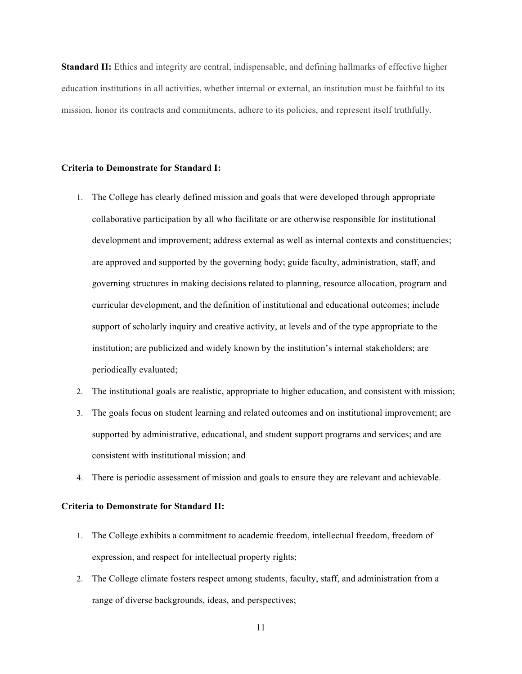**Standard II:** Ethics and integrity are central, indispensable, and defining hallmarks of effective higher education institutions in all activities, whether internal or external, an institution must be faithful to its mission, honor its contracts and commitments, adhere to its policies, and represent itself truthfully.

## **Criteria to Demonstrate for Standard I:**

- 1. The College has clearly defined mission and goals that were developed through appropriate collaborative participation by all who facilitate or are otherwise responsible for institutional development and improvement; address external as well as internal contexts and constituencies; are approved and supported by the governing body; guide faculty, administration, staff, and governing structures in making decisions related to planning, resource allocation, program and curricular development, and the definition of institutional and educational outcomes; include support of scholarly inquiry and creative activity, at levels and of the type appropriate to the institution; are publicized and widely known by the institution's internal stakeholders; are periodically evaluated;
- 2. The institutional goals are realistic, appropriate to higher education, and consistent with mission;
- 3. The goals focus on student learning and related outcomes and on institutional improvement; are supported by administrative, educational, and student support programs and services; and are consistent with institutional mission; and
- 4. There is periodic assessment of mission and goals to ensure they are relevant and achievable.

## **Criteria to Demonstrate for Standard II:**

- 1. The College exhibits a commitment to academic freedom, intellectual freedom, freedom of expression, and respect for intellectual property rights;
- 2. The College climate fosters respect among students, faculty, staff, and administration from a range of diverse backgrounds, ideas, and perspectives;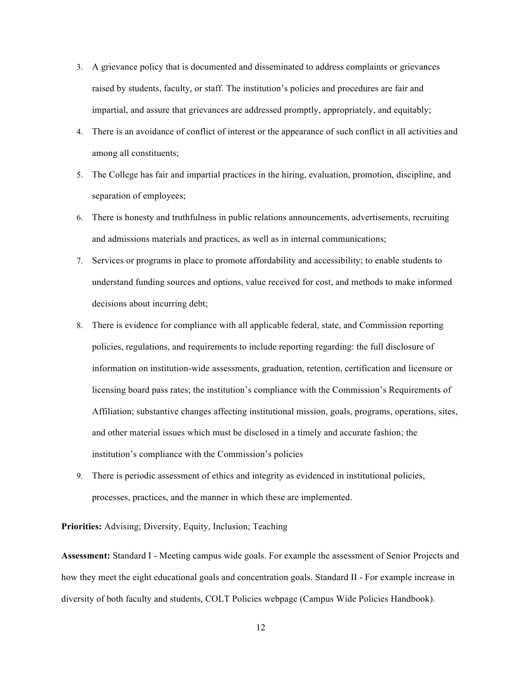- 3. A grievance policy that is documented and disseminated to address complaints or grievances raised by students, faculty, or staff. The institution's policies and procedures are fair and impartial, and assure that grievances are addressed promptly, appropriately, and equitably;
- 4. There is an avoidance of conflict of interest or the appearance of such conflict in all activities and among all constituents;
- 5. The College has fair and impartial practices in the hiring, evaluation, promotion, discipline, and separation of employees;
- 6. There is honesty and truthfulness in public relations announcements, advertisements, recruiting and admissions materials and practices, as well as in internal communications;
- 7. Services or programs in place to promote affordability and accessibility; to enable students to understand funding sources and options, value received for cost, and methods to make informed decisions about incurring debt;
- 8. There is evidence for compliance with all applicable federal, state, and Commission reporting policies, regulations, and requirements to include reporting regarding: the full disclosure of information on institution-wide assessments, graduation, retention, certification and licensure or licensing board pass rates; the institution's compliance with the Commission's Requirements of Affiliation; substantive changes affecting institutional mission, goals, programs, operations, sites, and other material issues which must be disclosed in a timely and accurate fashion; the institution's compliance with the Commission's policies
- 9. There is periodic assessment of ethics and integrity as evidenced in institutional policies, processes, practices, and the manner in which these are implemented.

**Priorities:** Advising; Diversity, Equity, Inclusion; Teaching

**Assessment:** Standard I - Meeting campus wide goals. For example the assessment of Senior Projects and how they meet the eight educational goals and concentration goals. Standard II - For example increase in diversity of both faculty and students, COLT Policies webpage (Campus Wide Policies Handbook).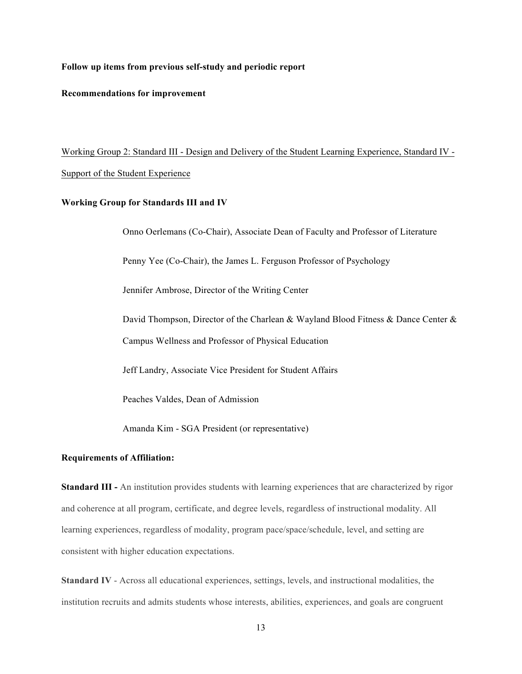### **Follow up items from previous self-study and periodic report**

## **Recommendations for improvement**

Working Group 2: Standard III - Design and Delivery of the Student Learning Experience, Standard IV - Support of the Student Experience

#### **Working Group for Standards III and IV**

Onno Oerlemans (Co-Chair), Associate Dean of Faculty and Professor of Literature

Penny Yee (Co-Chair), the James L. Ferguson Professor of Psychology

Jennifer Ambrose, Director of the Writing Center

David Thompson, Director of the Charlean & Wayland Blood Fitness & Dance Center & Campus Wellness and Professor of Physical Education

Jeff Landry, Associate Vice President for Student Affairs

Peaches Valdes, Dean of Admission

Amanda Kim - SGA President (or representative)

#### **Requirements of Affiliation:**

**Standard III -** An institution provides students with learning experiences that are characterized by rigor and coherence at all program, certificate, and degree levels, regardless of instructional modality. All learning experiences, regardless of modality, program pace/space/schedule, level, and setting are consistent with higher education expectations.

**Standard IV** - Across all educational experiences, settings, levels, and instructional modalities, the institution recruits and admits students whose interests, abilities, experiences, and goals are congruent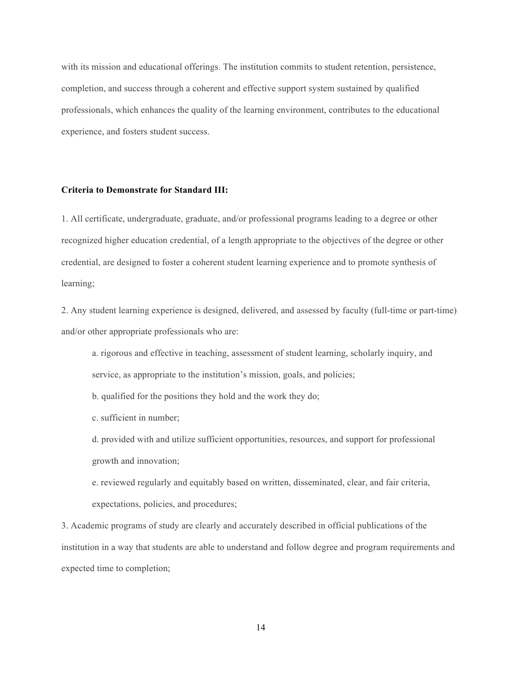with its mission and educational offerings. The institution commits to student retention, persistence, completion, and success through a coherent and effective support system sustained by qualified professionals, which enhances the quality of the learning environment, contributes to the educational experience, and fosters student success.

#### **Criteria to Demonstrate for Standard III:**

1. All certificate, undergraduate, graduate, and/or professional programs leading to a degree or other recognized higher education credential, of a length appropriate to the objectives of the degree or other credential, are designed to foster a coherent student learning experience and to promote synthesis of learning;

2. Any student learning experience is designed, delivered, and assessed by faculty (full-time or part-time) and/or other appropriate professionals who are:

a. rigorous and effective in teaching, assessment of student learning, scholarly inquiry, and service, as appropriate to the institution's mission, goals, and policies;

b. qualified for the positions they hold and the work they do;

c. sufficient in number;

d. provided with and utilize sufficient opportunities, resources, and support for professional growth and innovation;

e. reviewed regularly and equitably based on written, disseminated, clear, and fair criteria, expectations, policies, and procedures;

3. Academic programs of study are clearly and accurately described in official publications of the institution in a way that students are able to understand and follow degree and program requirements and expected time to completion;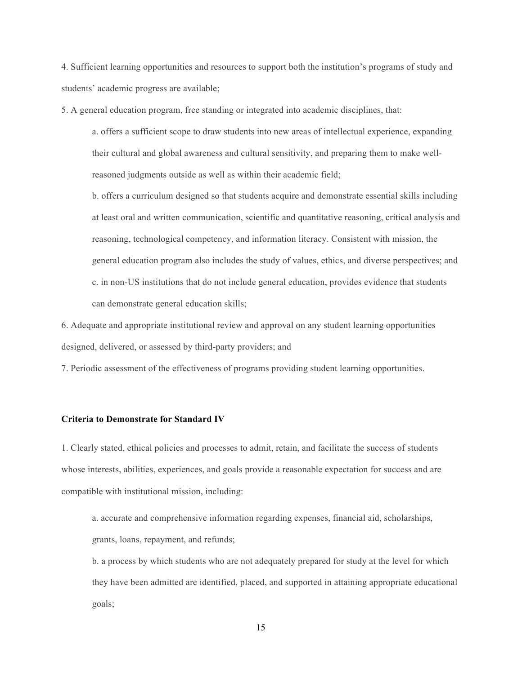4. Sufficient learning opportunities and resources to support both the institution's programs of study and students' academic progress are available;

5. A general education program, free standing or integrated into academic disciplines, that:

a. offers a sufficient scope to draw students into new areas of intellectual experience, expanding their cultural and global awareness and cultural sensitivity, and preparing them to make wellreasoned judgments outside as well as within their academic field;

b. offers a curriculum designed so that students acquire and demonstrate essential skills including at least oral and written communication, scientific and quantitative reasoning, critical analysis and reasoning, technological competency, and information literacy. Consistent with mission, the general education program also includes the study of values, ethics, and diverse perspectives; and c. in non-US institutions that do not include general education, provides evidence that students can demonstrate general education skills;

6. Adequate and appropriate institutional review and approval on any student learning opportunities designed, delivered, or assessed by third-party providers; and

7. Periodic assessment of the effectiveness of programs providing student learning opportunities.

#### **Criteria to Demonstrate for Standard IV**

1. Clearly stated, ethical policies and processes to admit, retain, and facilitate the success of students whose interests, abilities, experiences, and goals provide a reasonable expectation for success and are compatible with institutional mission, including:

a. accurate and comprehensive information regarding expenses, financial aid, scholarships, grants, loans, repayment, and refunds;

b. a process by which students who are not adequately prepared for study at the level for which they have been admitted are identified, placed, and supported in attaining appropriate educational goals;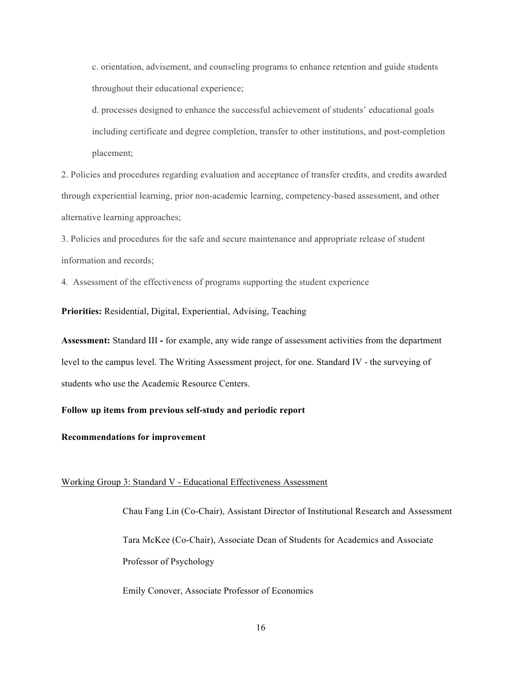c. orientation, advisement, and counseling programs to enhance retention and guide students throughout their educational experience;

d. processes designed to enhance the successful achievement of students' educational goals including certificate and degree completion, transfer to other institutions, and post-completion placement;

2. Policies and procedures regarding evaluation and acceptance of transfer credits, and credits awarded through experiential learning, prior non-academic learning, competency-based assessment, and other alternative learning approaches;

3. Policies and procedures for the safe and secure maintenance and appropriate release of student information and records;

4. Assessment of the effectiveness of programs supporting the student experience

**Priorities:** Residential, Digital, Experiential, Advising, Teaching

**Assessment:** Standard III **-** for example, any wide range of assessment activities from the department level to the campus level. The Writing Assessment project, for one. Standard IV - the surveying of students who use the Academic Resource Centers.

## **Follow up items from previous self-study and periodic report**

## **Recommendations for improvement**

## Working Group 3: Standard V - Educational Effectiveness Assessment

Chau Fang Lin (Co-Chair), Assistant Director of Institutional Research and Assessment Tara McKee (Co-Chair), Associate Dean of Students for Academics and Associate Professor of Psychology

Emily Conover, Associate Professor of Economics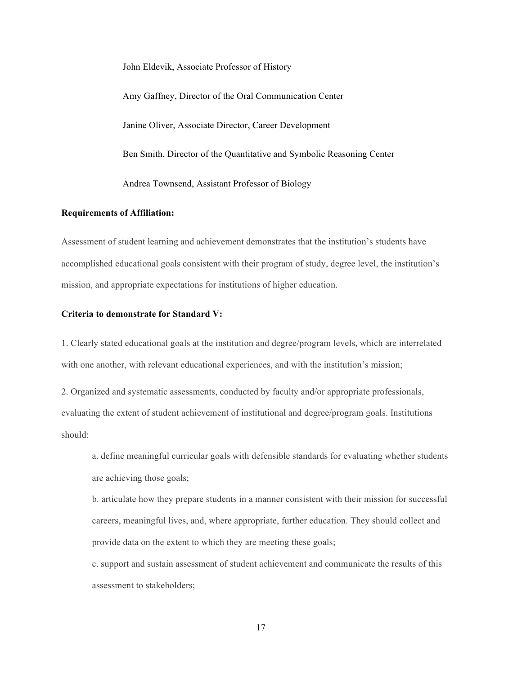John Eldevik, Associate Professor of History Amy Gaffney, Director of the Oral Communication Center Janine Oliver, Associate Director, Career Development Ben Smith, Director of the Quantitative and Symbolic Reasoning Center Andrea Townsend, Assistant Professor of Biology

### **Requirements of Affiliation:**

Assessment of student learning and achievement demonstrates that the institution's students have accomplished educational goals consistent with their program of study, degree level, the institution's mission, and appropriate expectations for institutions of higher education.

## **Criteria to demonstrate for Standard V:**

1. Clearly stated educational goals at the institution and degree/program levels, which are interrelated with one another, with relevant educational experiences, and with the institution's mission;

2. Organized and systematic assessments, conducted by faculty and/or appropriate professionals, evaluating the extent of student achievement of institutional and degree/program goals. Institutions should:

a. define meaningful curricular goals with defensible standards for evaluating whether students are achieving those goals;

b. articulate how they prepare students in a manner consistent with their mission for successful careers, meaningful lives, and, where appropriate, further education. They should collect and provide data on the extent to which they are meeting these goals;

c. support and sustain assessment of student achievement and communicate the results of this assessment to stakeholders;

17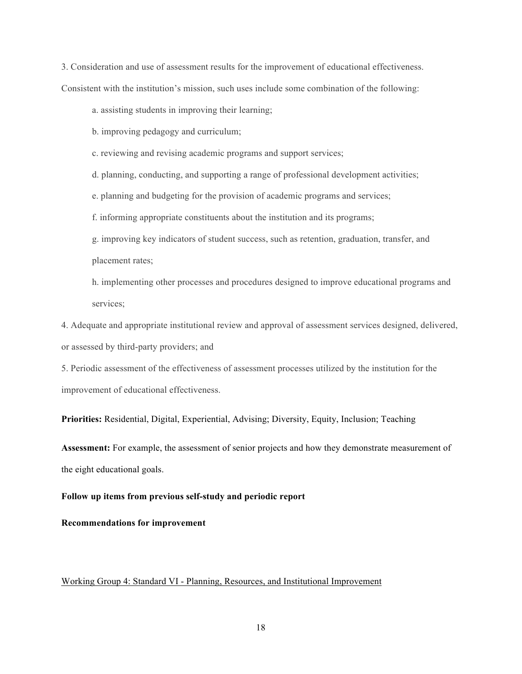3. Consideration and use of assessment results for the improvement of educational effectiveness. Consistent with the institution's mission, such uses include some combination of the following:

a. assisting students in improving their learning;

b. improving pedagogy and curriculum;

c. reviewing and revising academic programs and support services;

d. planning, conducting, and supporting a range of professional development activities;

e. planning and budgeting for the provision of academic programs and services;

f. informing appropriate constituents about the institution and its programs;

g. improving key indicators of student success, such as retention, graduation, transfer, and placement rates;

h. implementing other processes and procedures designed to improve educational programs and services;

4. Adequate and appropriate institutional review and approval of assessment services designed, delivered, or assessed by third-party providers; and

5. Periodic assessment of the effectiveness of assessment processes utilized by the institution for the improvement of educational effectiveness.

**Priorities:** Residential, Digital, Experiential, Advising; Diversity, Equity, Inclusion; Teaching

**Assessment:** For example, the assessment of senior projects and how they demonstrate measurement of the eight educational goals.

### **Follow up items from previous self-study and periodic report**

**Recommendations for improvement**

## Working Group 4: Standard VI - Planning, Resources, and Institutional Improvement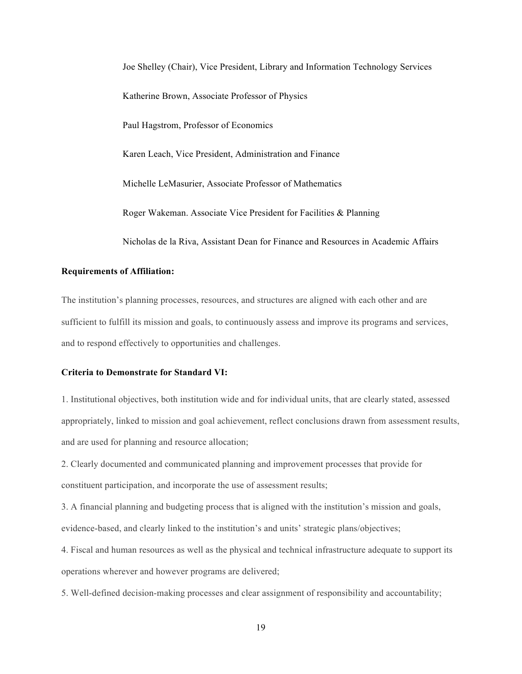Joe Shelley (Chair), Vice President, Library and Information Technology Services Katherine Brown, Associate Professor of Physics Paul Hagstrom, Professor of Economics Karen Leach, Vice President, Administration and Finance Michelle LeMasurier, Associate Professor of Mathematics Roger Wakeman. Associate Vice President for Facilities & Planning Nicholas de la Riva, Assistant Dean for Finance and Resources in Academic Affairs

## **Requirements of Affiliation:**

The institution's planning processes, resources, and structures are aligned with each other and are sufficient to fulfill its mission and goals, to continuously assess and improve its programs and services, and to respond effectively to opportunities and challenges.

### **Criteria to Demonstrate for Standard VI:**

1. Institutional objectives, both institution wide and for individual units, that are clearly stated, assessed appropriately, linked to mission and goal achievement, reflect conclusions drawn from assessment results, and are used for planning and resource allocation;

2. Clearly documented and communicated planning and improvement processes that provide for constituent participation, and incorporate the use of assessment results;

3. A financial planning and budgeting process that is aligned with the institution's mission and goals, evidence-based, and clearly linked to the institution's and units' strategic plans/objectives;

4. Fiscal and human resources as well as the physical and technical infrastructure adequate to support its operations wherever and however programs are delivered;

5. Well-defined decision-making processes and clear assignment of responsibility and accountability;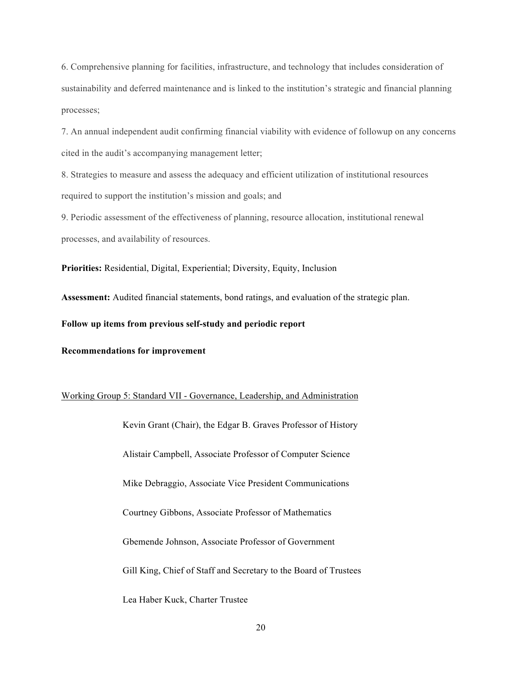6. Comprehensive planning for facilities, infrastructure, and technology that includes consideration of sustainability and deferred maintenance and is linked to the institution's strategic and financial planning processes;

7. An annual independent audit confirming financial viability with evidence of followup on any concerns cited in the audit's accompanying management letter;

8. Strategies to measure and assess the adequacy and efficient utilization of institutional resources required to support the institution's mission and goals; and

9. Periodic assessment of the effectiveness of planning, resource allocation, institutional renewal processes, and availability of resources.

**Priorities:** Residential, Digital, Experiential; Diversity, Equity, Inclusion

**Assessment:** Audited financial statements, bond ratings, and evaluation of the strategic plan.

**Follow up items from previous self-study and periodic report**

**Recommendations for improvement**

Working Group 5: Standard VII - Governance, Leadership, and Administration

Kevin Grant (Chair), the Edgar B. Graves Professor of History Alistair Campbell, Associate Professor of Computer Science Mike Debraggio, Associate Vice President Communications Courtney Gibbons, Associate Professor of Mathematics Gbemende Johnson, Associate Professor of Government Gill King, Chief of Staff and Secretary to the Board of Trustees Lea Haber Kuck, Charter Trustee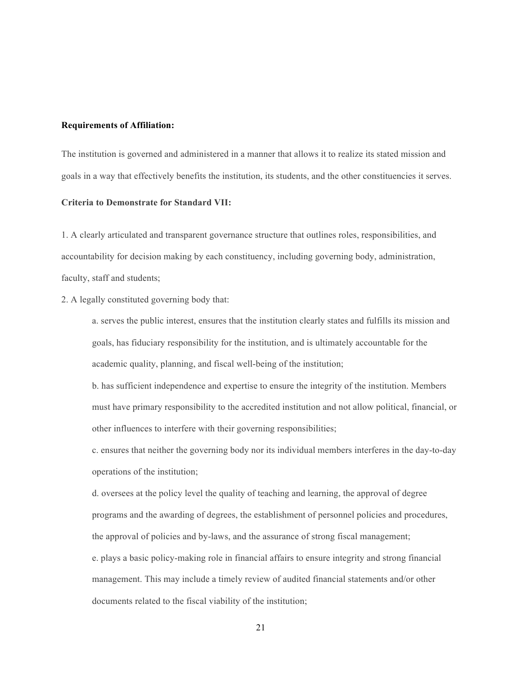#### **Requirements of Affiliation:**

The institution is governed and administered in a manner that allows it to realize its stated mission and goals in a way that effectively benefits the institution, its students, and the other constituencies it serves.

## **Criteria to Demonstrate for Standard VII:**

1. A clearly articulated and transparent governance structure that outlines roles, responsibilities, and accountability for decision making by each constituency, including governing body, administration, faculty, staff and students;

# 2. A legally constituted governing body that:

a. serves the public interest, ensures that the institution clearly states and fulfills its mission and goals, has fiduciary responsibility for the institution, and is ultimately accountable for the academic quality, planning, and fiscal well-being of the institution;

b. has sufficient independence and expertise to ensure the integrity of the institution. Members must have primary responsibility to the accredited institution and not allow political, financial, or other influences to interfere with their governing responsibilities;

c. ensures that neither the governing body nor its individual members interferes in the day-to-day operations of the institution;

d. oversees at the policy level the quality of teaching and learning, the approval of degree programs and the awarding of degrees, the establishment of personnel policies and procedures, the approval of policies and by-laws, and the assurance of strong fiscal management;

e. plays a basic policy-making role in financial affairs to ensure integrity and strong financial management. This may include a timely review of audited financial statements and/or other documents related to the fiscal viability of the institution;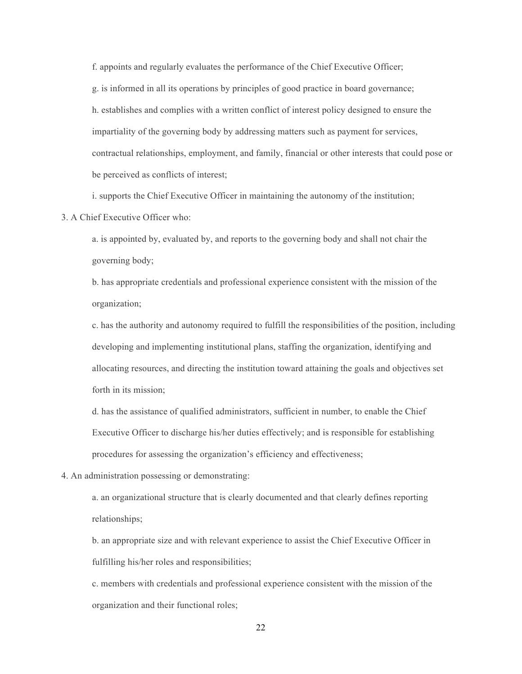f. appoints and regularly evaluates the performance of the Chief Executive Officer; g. is informed in all its operations by principles of good practice in board governance; h. establishes and complies with a written conflict of interest policy designed to ensure the impartiality of the governing body by addressing matters such as payment for services, contractual relationships, employment, and family, financial or other interests that could pose or be perceived as conflicts of interest;

i. supports the Chief Executive Officer in maintaining the autonomy of the institution;

3. A Chief Executive Officer who:

a. is appointed by, evaluated by, and reports to the governing body and shall not chair the governing body;

b. has appropriate credentials and professional experience consistent with the mission of the organization;

c. has the authority and autonomy required to fulfill the responsibilities of the position, including developing and implementing institutional plans, staffing the organization, identifying and allocating resources, and directing the institution toward attaining the goals and objectives set forth in its mission;

d. has the assistance of qualified administrators, sufficient in number, to enable the Chief Executive Officer to discharge his/her duties effectively; and is responsible for establishing procedures for assessing the organization's efficiency and effectiveness;

4. An administration possessing or demonstrating:

a. an organizational structure that is clearly documented and that clearly defines reporting relationships;

b. an appropriate size and with relevant experience to assist the Chief Executive Officer in fulfilling his/her roles and responsibilities;

c. members with credentials and professional experience consistent with the mission of the organization and their functional roles;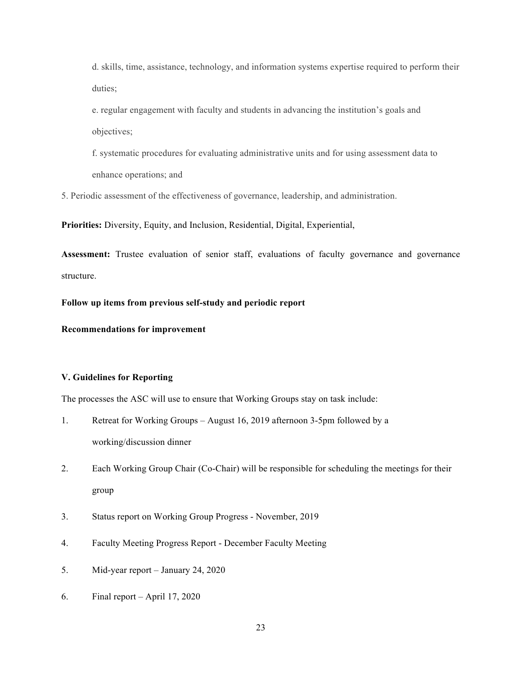d. skills, time, assistance, technology, and information systems expertise required to perform their duties;

e. regular engagement with faculty and students in advancing the institution's goals and objectives;

f. systematic procedures for evaluating administrative units and for using assessment data to enhance operations; and

5. Periodic assessment of the effectiveness of governance, leadership, and administration.

**Priorities:** Diversity, Equity, and Inclusion, Residential, Digital, Experiential,

**Assessment:** Trustee evaluation of senior staff, evaluations of faculty governance and governance structure.

**Follow up items from previous self-study and periodic report**

**Recommendations for improvement**

## **V. Guidelines for Reporting**

The processes the ASC will use to ensure that Working Groups stay on task include:

- 1. Retreat for Working Groups August 16, 2019 afternoon 3-5pm followed by a working/discussion dinner
- 2. Each Working Group Chair (Co-Chair) will be responsible for scheduling the meetings for their group
- 3. Status report on Working Group Progress November, 2019
- 4. Faculty Meeting Progress Report December Faculty Meeting
- 5. Mid-year report January 24, 2020
- 6. Final report April 17, 2020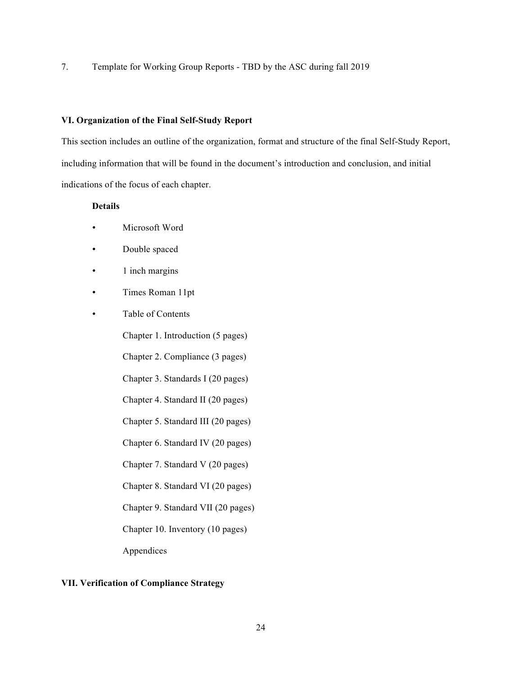7. Template for Working Group Reports - TBD by the ASC during fall 2019

## **VI. Organization of the Final Self-Study Report**

This section includes an outline of the organization, format and structure of the final Self-Study Report, including information that will be found in the document's introduction and conclusion, and initial indications of the focus of each chapter.

# **Details**

- Microsoft Word
- Double spaced
- 1 inch margins
- Times Roman 11pt
- Table of Contents

Chapter 1. Introduction (5 pages)

Chapter 2. Compliance (3 pages)

Chapter 3. Standards I (20 pages)

Chapter 4. Standard II (20 pages)

Chapter 5. Standard III (20 pages)

Chapter 6. Standard IV (20 pages)

Chapter 7. Standard V (20 pages)

Chapter 8. Standard VI (20 pages)

Chapter 9. Standard VII (20 pages)

Chapter 10. Inventory (10 pages)

Appendices

# **VII. Verification of Compliance Strategy**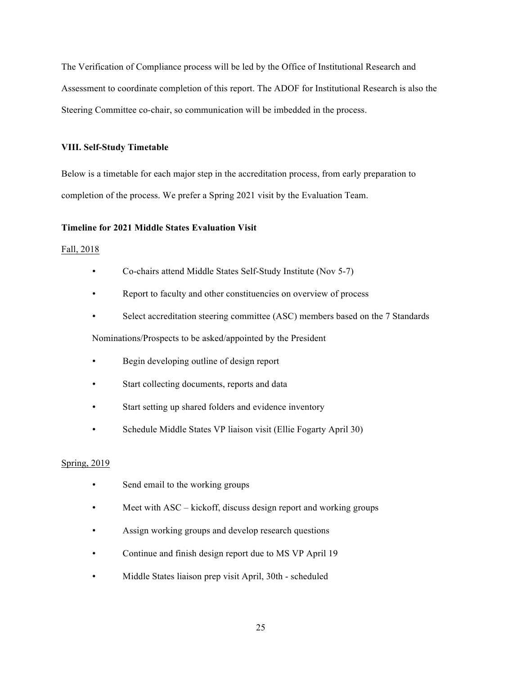The Verification of Compliance process will be led by the Office of Institutional Research and Assessment to coordinate completion of this report. The ADOF for Institutional Research is also the Steering Committee co-chair, so communication will be imbedded in the process.

## **VIII. Self-Study Timetable**

Below is a timetable for each major step in the accreditation process, from early preparation to completion of the process. We prefer a Spring 2021 visit by the Evaluation Team.

# **Timeline for 2021 Middle States Evaluation Visit**

## Fall, 2018

- Co-chairs attend Middle States Self-Study Institute (Nov 5-7)
- Report to faculty and other constituencies on overview of process
- Select accreditation steering committee (ASC) members based on the 7 Standards

Nominations/Prospects to be asked/appointed by the President

- Begin developing outline of design report
- Start collecting documents, reports and data
- Start setting up shared folders and evidence inventory
- Schedule Middle States VP liaison visit (Ellie Fogarty April 30)

### Spring, 2019

- Send email to the working groups
- Meet with ASC kickoff, discuss design report and working groups
- Assign working groups and develop research questions
- Continue and finish design report due to MS VP April 19
- Middle States liaison prep visit April, 30th scheduled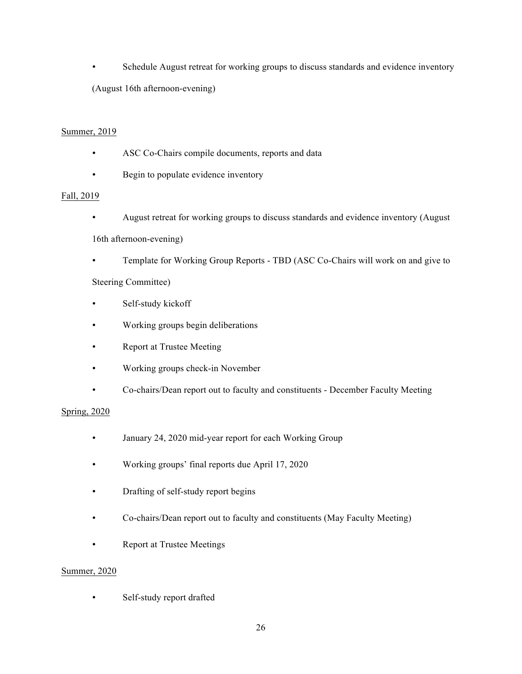Schedule August retreat for working groups to discuss standards and evidence inventory

(August 16th afternoon-evening)

# Summer, 2019

- ASC Co-Chairs compile documents, reports and data
- Begin to populate evidence inventory

# Fall, 2019

• August retreat for working groups to discuss standards and evidence inventory (August

16th afternoon-evening)

• Template for Working Group Reports - TBD (ASC Co-Chairs will work on and give to

# Steering Committee)

- Self-study kickoff
- Working groups begin deliberations
- Report at Trustee Meeting
- Working groups check-in November
- Co-chairs/Dean report out to faculty and constituents December Faculty Meeting

# Spring, 2020

- January 24, 2020 mid-year report for each Working Group
- Working groups' final reports due April 17, 2020
- Drafting of self-study report begins
- Co-chairs/Dean report out to faculty and constituents (May Faculty Meeting)
- Report at Trustee Meetings

# Summer, 2020

• Self-study report drafted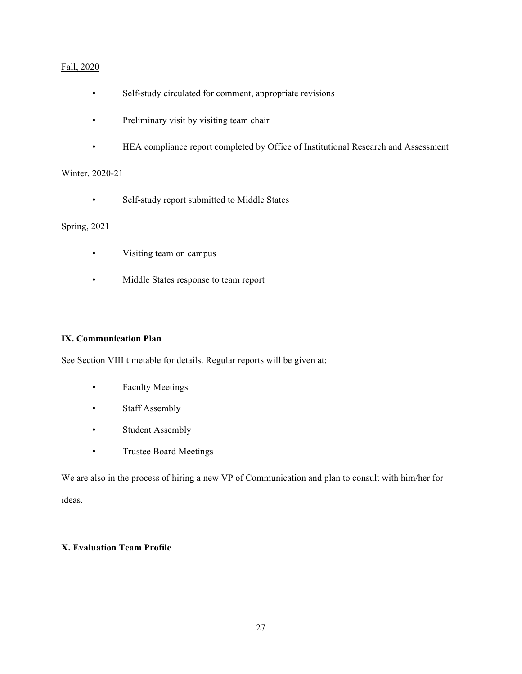# Fall, 2020

- Self-study circulated for comment, appropriate revisions
- Preliminary visit by visiting team chair
- HEA compliance report completed by Office of Institutional Research and Assessment

# Winter, 2020-21

• Self-study report submitted to Middle States

# Spring, 2021

- Visiting team on campus
- Middle States response to team report

# **IX. Communication Plan**

See Section VIII timetable for details. Regular reports will be given at:

- Faculty Meetings
- Staff Assembly
- Student Assembly
- Trustee Board Meetings

We are also in the process of hiring a new VP of Communication and plan to consult with him/her for ideas.

# **X. Evaluation Team Profile**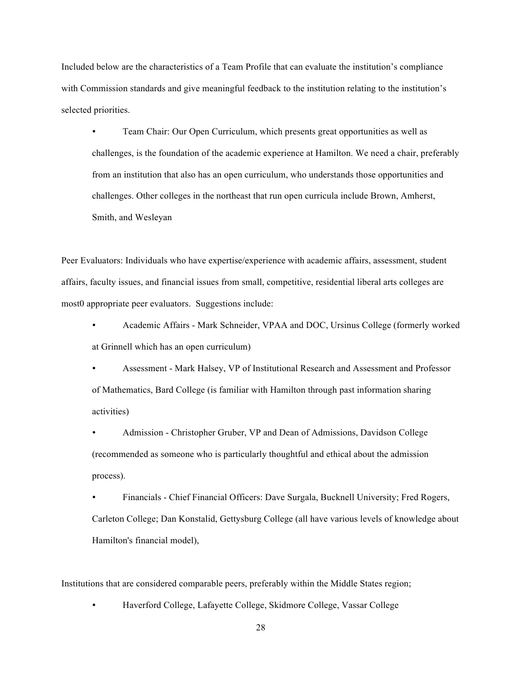Included below are the characteristics of a Team Profile that can evaluate the institution's compliance with Commission standards and give meaningful feedback to the institution relating to the institution's selected priorities.

• Team Chair: Our Open Curriculum, which presents great opportunities as well as challenges, is the foundation of the academic experience at Hamilton. We need a chair, preferably from an institution that also has an open curriculum, who understands those opportunities and challenges. Other colleges in the northeast that run open curricula include Brown, Amherst, Smith, and Wesleyan

Peer Evaluators: Individuals who have expertise/experience with academic affairs, assessment, student affairs, faculty issues, and financial issues from small, competitive, residential liberal arts colleges are most0 appropriate peer evaluators. Suggestions include:

• Academic Affairs - Mark Schneider, VPAA and DOC, Ursinus College (formerly worked at Grinnell which has an open curriculum)

• Assessment - Mark Halsey, VP of Institutional Research and Assessment and Professor of Mathematics, Bard College (is familiar with Hamilton through past information sharing activities)

• Admission - Christopher Gruber, VP and Dean of Admissions, Davidson College (recommended as someone who is particularly thoughtful and ethical about the admission process).

• Financials - Chief Financial Officers: Dave Surgala, Bucknell University; Fred Rogers, Carleton College; Dan Konstalid, Gettysburg College (all have various levels of knowledge about Hamilton's financial model),

Institutions that are considered comparable peers, preferably within the Middle States region;

• Haverford College, Lafayette College, Skidmore College, Vassar College

28